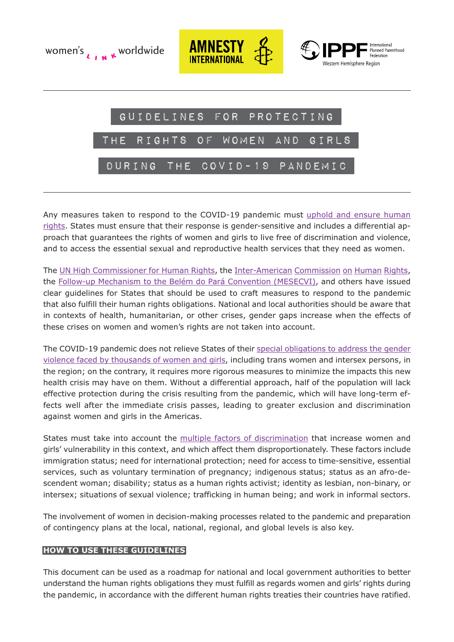

Any measures taken to respond to the COVID-19 pandemic must [uphold and ensure human](https://www.amnesty.org/en/latest/research/2020/03/americas-at-a-crossroads-in-response-to-covid19/) [rights.](https://www.amnesty.org/en/latest/research/2020/03/americas-at-a-crossroads-in-response-to-covid19/) States must ensure that their response is gender-sensitive and includes a differential approach that guarantees the rights of women and girls to live free of discrimination and violence, and to access the essential sexual and reproductive health services that they need as women.

The [UN High Commissioner for Human Rights,](https://www.ohchr.org/EN/NewsEvents/Pages/DisplayNews.aspx?NewsID=25668&LangID=E) the [Inter-American](http://www.oas.org/es/cidh/decisiones/pdf/Resolucion-1-20-es.pdf) Commission on Human Rights, the [Follow-up Mechanism to the Belém do Pará Convention \(MESECVI\)](https://mailchi.mp/dist/comunicado-covid-19-y-el-reforzamiento-de-acciones-para-la-prevencin-y-atencin-de-la-violencia-de-gnero?e=148d9c4077), and others have issued clear guidelines for States that should be used to craft measures to respond to the pandemic that also fulfill their human rights obligations. National and local authorities should be aware that in contexts of health, humanitarian, or other crises, gender gaps increase when the effects of these crises on women and women's rights are not taken into account.

The COVID-19 pandemic does not relieve States of their [special obligations to address the gender](http://www.oas.org/en/iachr/media_center/PReleases/2020/074.asp) [violence faced by thousands of women and girls,](http://www.oas.org/en/iachr/media_center/PReleases/2020/074.asp) including trans women and intersex persons, in the region; on the contrary, it requires more rigorous measures to minimize the impacts this new health crisis may have on them. Without a differential approach, half of the population will lack effective protection during the crisis resulting from the pandemic, which will have long-term effects well after the immediate crisis passes, leading to greater exclusion and discrimination against women and girls in the Americas.

States must take into account the [multiple factors of discrimination](https://tbinternet.ohchr.org/Treaties/CEDAW/Shared%20Documents/1_Global/CEDAW_C_GC_35_8267_E.pdf) that increase women and girls' vulnerability in this context, and which affect them disproportionately. These factors include immigration status; need for international protection; need for access to time-sensitive, essential services, such as voluntary termination of pregnancy; indigenous status; status as an afro-descendent woman; disability; status as a human rights activist; identity as lesbian, non-binary, or intersex; situations of sexual violence; trafficking in human being; and work in informal sectors.

The involvement of women in decision-making processes related to the pandemic and preparation of contingency plans at the local, national, regional, and global levels is also key.

#### **HOW TO USE THESE GUIDELINES**

This document can be used as a roadmap for national and local government authorities to better understand the human rights obligations they must fulfill as regards women and girls' rights during the pandemic, in accordance with the different human rights treaties their countries have ratified.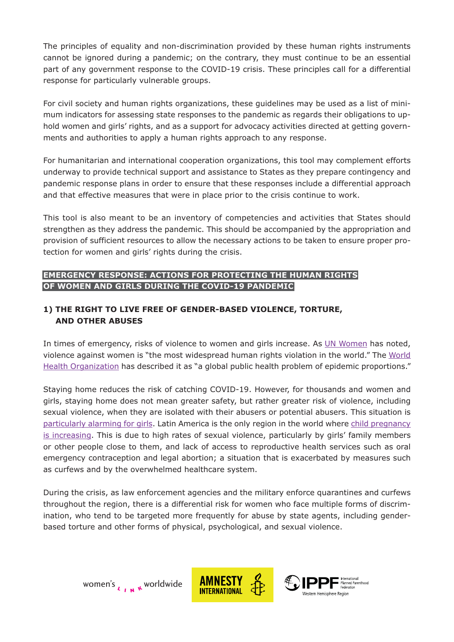The principles of equality and non-discrimination provided by these human rights instruments cannot be ignored during a pandemic; on the contrary, they must continue to be an essential part of any government response to the COVID-19 crisis. These principles call for a differential response for particularly vulnerable groups.

For civil society and human rights organizations, these guidelines may be used as a list of minimum indicators for assessing state responses to the pandemic as regards their obligations to uphold women and girls' rights, and as a support for advocacy activities directed at getting governments and authorities to apply a human rights approach to any response.

For humanitarian and international cooperation organizations, this tool may complement efforts underway to provide technical support and assistance to States as they prepare contingency and pandemic response plans in order to ensure that these responses include a differential approach and that effective measures that were in place prior to the crisis continue to work.

This tool is also meant to be an inventory of competencies and activities that States should strengthen as they address the pandemic. This should be accompanied by the appropriation and provision of sufficient resources to allow the necessary actions to be taken to ensure proper protection for women and girls' rights during the crisis.

# **EMERGENCY RESPONSE: ACTIONS FOR PROTECTING THE HUMAN RIGHTS OF WOMEN AND GIRLS DURING THE COVID-19 PANDEMIC**

# **1) THE RIGHT TO LIVE FREE OF GENDER-BASED VIOLENCE, TORTURE, AND OTHER ABUSES**

In times of emergency, risks of violence to women and girls increase. As [UN Women](https://www2.unwomen.org/-/media/field%20office%20colombia/documentos/publicaciones/2020/01/covid19_onu_mujeres-colombia.pdf?la=es&vs=1437) has noted, violence against women is "the most widespread human rights violation in the world." The [World](https://www.who.int/reproductivehealth/publications/violence/9789241564625/en/) [Health Organization](https://www.who.int/reproductivehealth/publications/violence/9789241564625/en/) has described it as "a global public health problem of epidemic proportions."

Staying home reduces the risk of catching COVID-19. However, for thousands and women and girls, staying home does not mean greater safety, but rather greater risk of violence, including sexual violence, when they are isolated with their abusers or potential abusers. This situation is [particularly alarming for girls.](https://www.ninasnomadres.org/) Latin America is the only region in the world where [child pregnancy](https://iris.paho.org/bitstream/handle/10665.2/34493/9789275119761-%20eng.pdf?sequence=1&isAllowed=y) [is increasing.](https://iris.paho.org/bitstream/handle/10665.2/34493/9789275119761-%20eng.pdf?sequence=1&isAllowed=y) This is due to high rates of sexual violence, particularly by girls' family members or other people close to them, and lack of access to reproductive health services such as oral emergency contraception and legal abortion; a situation that is exacerbated by measures such as curfews and by the overwhelmed healthcare system.

During the crisis, as law enforcement agencies and the military enforce quarantines and curfews throughout the region, there is a differential risk for women who face multiple forms of discrimination, who tend to be targeted more frequently for abuse by state agents, including genderbased torture and other forms of physical, psychological, and sexual violence.



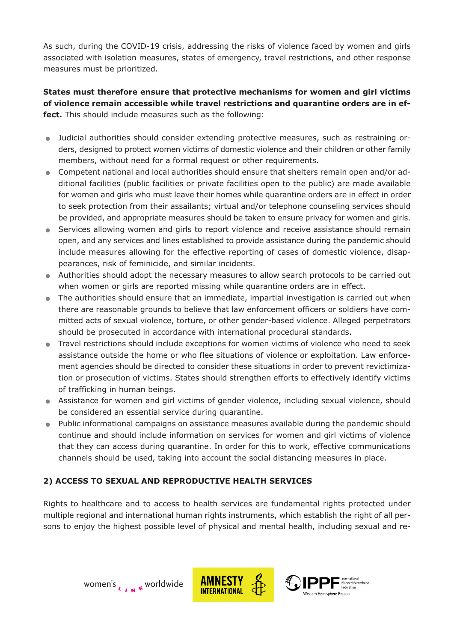As such, during the COVID-19 crisis, addressing the risks of violence faced by women and girls associated with isolation measures, states of emergency, travel restrictions, and other response measures must be prioritized.

### **States must therefore ensure that protective mechanisms for women and girl victims of violence remain accessible while travel restrictions and quarantine orders are in effect.** This should include measures such as the following:

- . Judicial authorities should consider extending protective measures, such as restraining orders, designed to protect women victims of domestic violence and their children or other family members, without need for a formal request or other requirements.
- . Competent national and local authorities should ensure that shelters remain open and/or additional facilities (public facilities or private facilities open to the public) are made available for women and girls who must leave their homes while quarantine orders are in effect in order to seek protection from their assailants; virtual and/or telephone counseling services should be provided, and appropriate measures should be taken to ensure privacy for women and girls.
- . Services allowing women and girls to report violence and receive assistance should remain open, and any services and lines established to provide assistance during the pandemic should include measures allowing for the effective reporting of cases of domestic violence, disappearances, risk of feminicide, and similar incidents.
- . Authorities should adopt the necessary measures to allow search protocols to be carried out when women or girls are reported missing while quarantine orders are in effect.
- . The authorities should ensure that an immediate, impartial investigation is carried out when there are reasonable grounds to believe that law enforcement officers or soldiers have committed acts of sexual violence, torture, or other gender-based violence. Alleged perpetrators should be prosecuted in accordance with international procedural standards.
- . Travel restrictions should include exceptions for women victims of violence who need to seek assistance outside the home or who flee situations of violence or exploitation. Law enforcement agencies should be directed to consider these situations in order to prevent revictimization or prosecution of victims. States should strengthen efforts to effectively identify victims of trafficking in human beings.
- . Assistance for women and girl victims of gender violence, including sexual violence, should be considered an essential service during quarantine.
- . Public informational campaigns on assistance measures available during the pandemic should continue and should include information on services for women and girl victims of violence that they can access during quarantine. In order for this to work, effective communications chan nels should be used, taking into account the social distancing measures in place.

### **2) ACCESS TO SEXUAL AND REPRODUCTIVE HEALTH SERVICES**

Rights to healthcare and to access to health services are fundamental rights protected under multiple regional and international human rights instruments, which establish the right of all persons to enjoy the highest possible level of physical and mental health, including sexual and re-



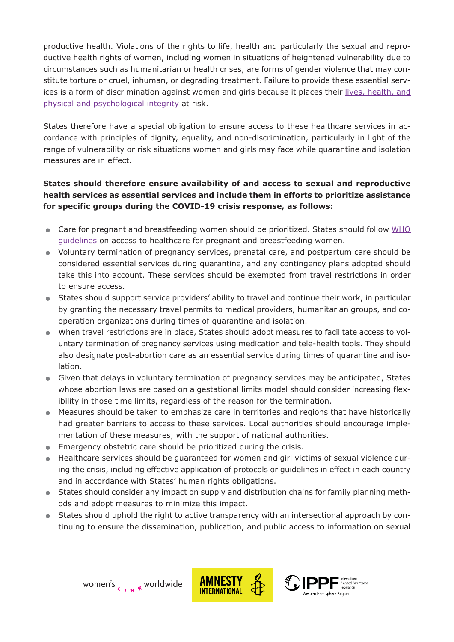productive health. Violations of the rights to life, health and particularly the sexual and reproductive health rights of women, including women in situations of heightened vulnerability due to circumstances such as humanitarian or health crises, are forms of gender violence that may constitute torture or cruel, inhuman, or degrading treatment. Failure to provide these essential services is a form of discrimination against women and girls because it places their [lives, health, and](https://www.ippfwhr.org/resource/causal-vida-pautas-para-la-toma-de-decisiones-clinicas-cuando-el-embarazo-pone-en-riesgo-la-vida-de-la-mujer/) [physical and psychological integrity](https://www.ippfwhr.org/resource/causal-vida-pautas-para-la-toma-de-decisiones-clinicas-cuando-el-embarazo-pone-en-riesgo-la-vida-de-la-mujer/) at risk.

States therefore have a special obligation to ensure access to these healthcare services in accordance with principles of dignity, equality, and non-discrimination, particularly in light of the range of vulnerability or risk situations women and girls may face while quarantine and isolation measures are in effect.

# **States should therefore ensure availability of and access to sexual and reproductive health services as essential services and include them in efforts to prioritize assistance for specific groups during the COVID-19 crisis response, as follows:**

- Care for pregnant and breastfeeding women should be prioritized. States should follow [WHO](https://www.who.int/news-room/q-a-detail/q-a-on-covid-19-pregnancy-childbirth-and-breastfeeding) [guidelines](https://www.who.int/news-room/q-a-detail/q-a-on-covid-19-pregnancy-childbirth-and-breastfeeding) on access to healthcare for pregnant and breastfeeding women.
- . Voluntary termination of pregnancy services, prenatal care, and postpartum care should be considered essential services during quarantine, and any contingency plans adopted should take this into account. These services should be exempted from travel restrictions in order to ensure access.
- . States should support service providers' ability to travel and continue their work, in particular by granting the necessary travel permits to medical providers, humanitarian groups, and cooperation organizations during times of quarantine and isolation.
- . When travel restrictions are in place, States should adopt measures to facilitate access to voluntary termination of pregnancy services using medication and tele-health tools. They should also designate post-abortion care as an essential service during times of quarantine and isolation.
- . Given that delays in voluntary termination of pregnancy services may be anticipated, States whose abortion laws are based on a gestational limits model should consider increasing flexibility in those time limits, regardless of the reason for the termination.
- . Measures should be taken to emphasize care in territories and regions that have historically had greater barriers to access to these services. Local authorities should encourage implementation of these measures, with the support of national authorities. had greater barriers to access to these services. Local authorities<br>
mentation of these measures, with the support of national authorities<br>
Emergency obstetric care should be prioritized during the crisis.
- 
- **Emergency obstetric care should be prioritized during the crisis.**<br>• Healthcare services should be quaranteed for women and girl victims of sexual violence during the crisis, including effective application of protocols or guidelines in effect in each country and in accordance with States' human rights obligations.
- . States should consider any impact on supply and distribution chains for family planning methods and adopt measures to minimize this impact.
- . States should uphold the right to active transparency with an intersectional approach by continuing to ensure the dissemination, publication, and public access to information on sexual



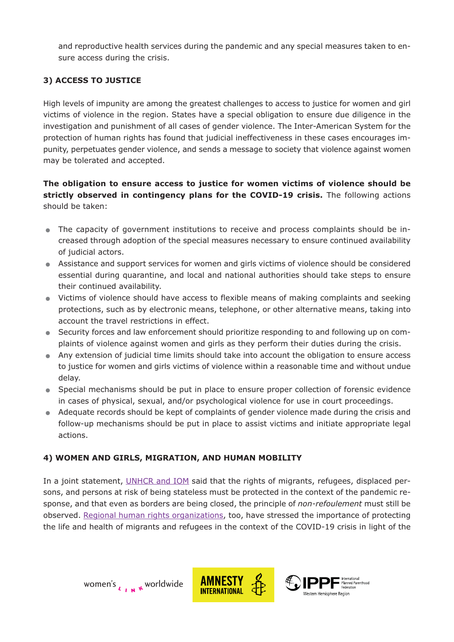and reproductive health services during the pandemic and any special measures taken to ensure access during the crisis.

## **3) ACCESS TO JUSTICE**

High levels of impunity are among the greatest challenges to access to justice for women and girl victims of violence in the region. States have a special obligation to ensure due diligence in the investigation and punishment of all cases of gender violence. The Inter-American System for the protection of human rights has found that judicial ineffectiveness in these cases encourages impunity, perpetuates gender violence, and sends a message to society that violence against women may be tolerated and accepted.

**The obligation to ensure access to justice for women victims of violence should be strictly observed in contingency plans for the COVID-19 crisis.** The following actions should be taken:

- . The capacity of government institutions to receive and process complaints should be increased through adoption of the special measures necessary to ensure continued availability of judicial actors.
- . Assistance and support services for women and girls victims of violence should be considered essential during quarantine, and local and national authorities should take steps to ensure their continued availability.
- . Victims of violence should have access to flexible means of making complaints and seeking protections, such as by electronic means, telephone, or other alternative means, taking into account the travel restrictions in effect.
- . Security forces and law enforcement should prioritize responding to and following up on complaints of violence against women and girls as they perform their duties during the crisis. ■ Security forces and law enforcement should prioritize responding to and following up on complaints of violence against women and girls as they perform their duties during the crisis.<br>■ Any extension of judicial time lim
- to justice for women and girls victims of violence within a reasonable time and without undue delay.
- . Special mechanisms should be put in place to ensure proper collection of forensic evidence in cases of physical, sexual, and/or psychological violence for use in court proceedings.
- . Adequate records should be kept of complaints of gender violence made during the crisis and follow-up mechanisms should be put in place to assist victims and initiate appropriate legal actions.

### **4) WOMEN AND GIRLS, MIGRATION, AND HUMAN MOBILITY**

In a joint statement, [UNHCR and IOM](https://www.ohchr.org/EN/NewsEvents/Pages/DisplayNews.aspx?NewsID=25762&LangID=E) said that the rights of migrants, refugees, displaced persons, and persons at risk of being stateless must be protected in the context of the pandemic response, and that even as borders are being closed, the principle of *non-refoulement* must still be observed. [Regional human rights organizations,](https://www.womenslinkworldwide.org/en/news-and-publications/press-room/states-across-the-americas-must-guarantee-the-lives-and-right-to-health-of-migrants-and-refugees-in-the-face-of-the-covid-19-crisis) too, have stressed the importance of protecting the life and health of migrants and refugees in the context of the COVID-19 crisis in light of the